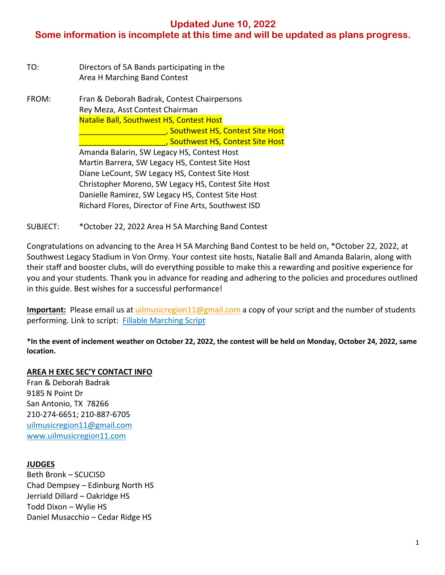## **Updated June 10, 2022**

# **Some information is incomplete at this time and will be updated as plans progress.**

| TO: | Directors of 5A Bands participating in the |
|-----|--------------------------------------------|
|     | Area H Marching Band Contest               |

FROM: Fran & Deborah Badrak, Contest Chairpersons Rey Meza, Asst Contest Chairman Natalie Ball, Southwest HS, Contest Host \_\_\_\_\_\_\_\_\_\_\_\_\_\_\_\_\_\_\_\_, Southwest HS, Contest Site Host \_\_\_\_\_\_\_\_\_\_\_\_\_\_\_\_\_\_\_\_, Southwest HS, Contest Site Host Amanda Balarin, SW Legacy HS, Contest Host Martin Barrera, SW Legacy HS, Contest Site Host Diane LeCount, SW Legacy HS, Contest Site Host Christopher Moreno, SW Legacy HS, Contest Site Host Danielle Ramirez, SW Legacy HS, Contest Site Host Richard Flores, Director of Fine Arts, Southwest ISD

SUBJECT: \*October 22, 2022 Area H 5A Marching Band Contest

Congratulations on advancing to the Area H 5A Marching Band Contest to be held on, \*October 22, 2022, at Southwest Legacy Stadium in Von Ormy. Your contest site hosts, Natalie Ball and Amanda Balarin, along with their staff and booster clubs, will do everything possible to make this a rewarding and positive experience for you and your students. Thank you in advance for reading and adhering to the policies and procedures outlined in this guide. Best wishes for a successful performance!

**Important:** Please email us at uilmusicregion11@gmail.com a copy of your script and the number of students performing. Link to script: Fillable Marching Script

**\*In the event of inclement weather on October 22, 2022, the contest will be held on Monday, October 24, 2022, same location.**

### **AREA H EXEC SEC'Y CONTACT INFO**

Fran & Deborah Badrak 9185 N Point Dr San Antonio, TX 78266 210-274-6651; 210-887-6705 uilmusicregion11@gmail.com www.uilmusicregion11.com

### **JUDGES**

Beth Bronk – SCUCISD Chad Dempsey – Edinburg North HS Jerriald Dillard – Oakridge HS Todd Dixon – Wylie HS Daniel Musacchio – Cedar Ridge HS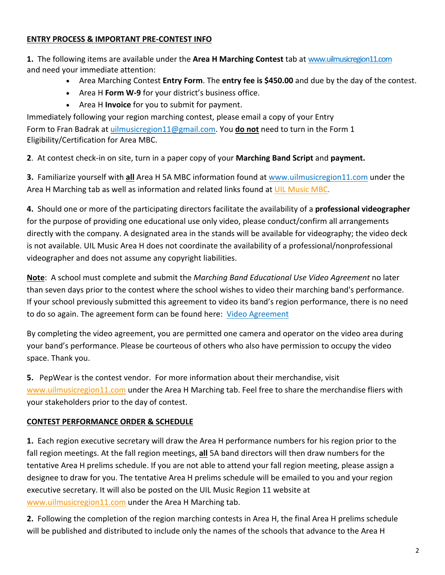## **ENTRY PROCESS & IMPORTANT PRE-CONTEST INFO**

**1.** The following items are available under the **Area H Marching Contest** tab at www.uilmusicregion11.com and need your immediate attention:

- Area Marching Contest **Entry Form**. The **entry fee is \$450.00** and due by the day of the contest.
- Area H **Form W-9** for your district's business office.
- Area H **Invoice** for you to submit for payment.

Immediately following your region marching contest, please email a copy of your Entry Form to Fran Badrak at uilmusicregion11@gmail.com. You **do not** need to turn in the Form 1 Eligibility/Certification for Area MBC.

**2**. At contest check-in on site, turn in a paper copy of your **Marching Band Script** and **payment.**

**3.** Familiarize yourself with **all** Area H 5A MBC information found at www.uilmusicregion11.com under the Area H Marching tab as well as information and related links found at UIL Music MBC.

**4.** Should one or more of the participating directors facilitate the availability of a **professional videographer** for the purpose of providing one educational use only video, please conduct/confirm all arrangements directly with the company. A designated area in the stands will be available for videography; the video deck is not available. UIL Music Area H does not coordinate the availability of a professional/nonprofessional videographer and does not assume any copyright liabilities.

**Note**: A school must complete and submit the *Marching Band Educational Use Video Agreement* no later than seven days prior to the contest where the school wishes to video their marching band's performance. If your school previously submitted this agreement to video its band's region performance, there is no need to do so again. The agreement form can be found here: Video Agreement

By completing the video agreement, you are permitted one camera and operator on the video area during your band's performance. Please be courteous of others who also have permission to occupy the video space. Thank you.

**5.** PepWear is the contest vendor. For more information about their merchandise, visit www.uilmusicregion11.com under the Area H Marching tab. Feel free to share the merchandise fliers with your stakeholders prior to the day of contest.

## **CONTEST PERFORMANCE ORDER & SCHEDULE**

**1.** Each region executive secretary will draw the Area H performance numbers for his region prior to the fall region meetings. At the fall region meetings, **all** 5A band directors will then draw numbers for the tentative Area H prelims schedule. If you are not able to attend your fall region meeting, please assign a designee to draw for you. The tentative Area H prelims schedule will be emailed to you and your region executive secretary. It will also be posted on the UIL Music Region 11 website at www.uilmusicregion11.com under the Area H Marching tab.

**2.** Following the completion of the region marching contests in Area H, the final Area H prelims schedule will be published and distributed to include only the names of the schools that advance to the Area H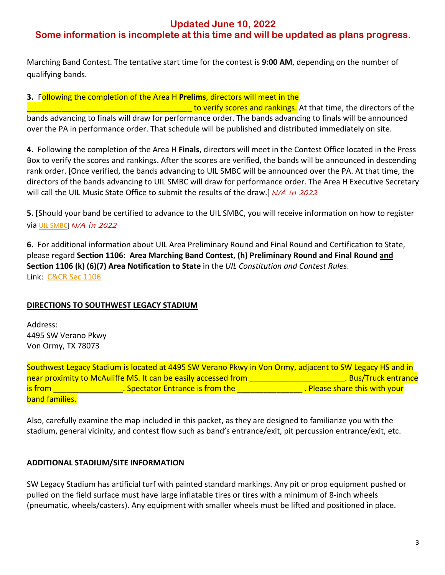## **Updated June 10, 2022**

# **Some information is incomplete at this time and will be updated as plans progress.**

Marching Band Contest. The tentative start time for the contest is **9:00 AM**, depending on the number of qualifying bands.

**3.** Following the completion of the Area H **Prelims**, directors will meet in the

to verify scores and rankings. At that time, the directors of the bands advancing to finals will draw for performance order. The bands advancing to finals will be announced over the PA in performance order. That schedule will be published and distributed immediately on site.

**4.** Following the completion of the Area H **Finals**, directors will meet in the Contest Office located in the Press Box to verify the scores and rankings. After the scores are verified, the bands will be announced in descending rank order. [Once verified, the bands advancing to UIL SMBC will be announced over the PA. At that time, the directors of the bands advancing to UIL SMBC will draw for performance order. The Area H Executive Secretary will call the UIL Music State Office to submit the results of the draw.] *N/A in 2022*

**5. [**Should your band be certified to advance to the UIL SMBC, you will receive information on how to register via UIL SMBC] *N/A in 2022*

**6.** For additional information about UIL Area Preliminary Round and Final Round and Certification to State, please regard **Section 1106: Area Marching Band Contest, (h) Preliminary Round and Final Round and Section 1106 (k) (6)(7) Area Notification to State** in the *UIL Constitution and Contest Rules*. Link: C&CR Sec 1106

## **DIRECTIONS TO SOUTHWEST LEGACY STADIUM**

Address: 4495 SW Verano Pkwy Von Ormy, TX 78073

Southwest Legacy Stadium is located at 4495 SW Verano Pkwy in Von Ormy, adjacent to SW Legacy HS and in near proximity to McAuliffe MS. It can be easily accessed from \_\_\_\_\_\_\_\_\_\_\_\_\_\_\_\_\_\_\_\_\_\_\_\_\_. Bus/Truck entrance is from **Example 20 and Telecom** . Spectator Entrance is from the **Example 20 and Telecom** . Please share this with your band families.

Also, carefully examine the map included in this packet, as they are designed to familiarize you with the stadium, general vicinity, and contest flow such as band's entrance/exit, pit percussion entrance/exit, etc.

## **ADDITIONAL STADIUM/SITE INFORMATION**

SW Legacy Stadium has artificial turf with painted standard markings. Any pit or prop equipment pushed or pulled on the field surface must have large inflatable tires or tires with a minimum of 8-inch wheels (pneumatic, wheels/casters). Any equipment with smaller wheels must be lifted and positioned in place.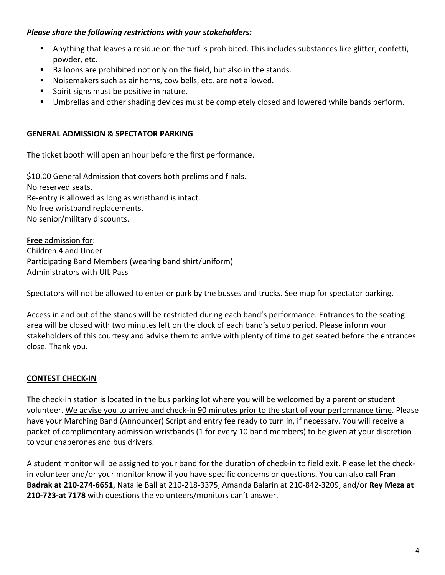## *Please share the following restrictions with your stakeholders:*

- § Anything that leaves a residue on the turf is prohibited. This includes substances like glitter, confetti, powder, etc.
- § Balloons are prohibited not only on the field, but also in the stands.
- § Noisemakers such as air horns, cow bells, etc. are not allowed.
- Spirit signs must be positive in nature.
- § Umbrellas and other shading devices must be completely closed and lowered while bands perform.

## **GENERAL ADMISSION & SPECTATOR PARKING**

The ticket booth will open an hour before the first performance.

\$10.00 General Admission that covers both prelims and finals. No reserved seats. Re-entry is allowed as long as wristband is intact. No free wristband replacements. No senior/military discounts.

**Free** admission for: Children 4 and Under Participating Band Members (wearing band shirt/uniform) Administrators with UIL Pass

Spectators will not be allowed to enter or park by the busses and trucks. See map for spectator parking.

Access in and out of the stands will be restricted during each band's performance. Entrances to the seating area will be closed with two minutes left on the clock of each band's setup period. Please inform your stakeholders of this courtesy and advise them to arrive with plenty of time to get seated before the entrances close. Thank you.

## **CONTEST CHECK-IN**

The check-in station is located in the bus parking lot where you will be welcomed by a parent or student volunteer. We advise you to arrive and check-in 90 minutes prior to the start of your performance time. Please have your Marching Band (Announcer) Script and entry fee ready to turn in, if necessary. You will receive a packet of complimentary admission wristbands (1 for every 10 band members) to be given at your discretion to your chaperones and bus drivers.

A student monitor will be assigned to your band for the duration of check-in to field exit. Please let the checkin volunteer and/or your monitor know if you have specific concerns or questions. You can also **call Fran Badrak at 210-274-6651**, Natalie Ball at 210-218-3375, Amanda Balarin at 210-842-3209, and/or **Rey Meza at 210-723-at 7178** with questions the volunteers/monitors can't answer.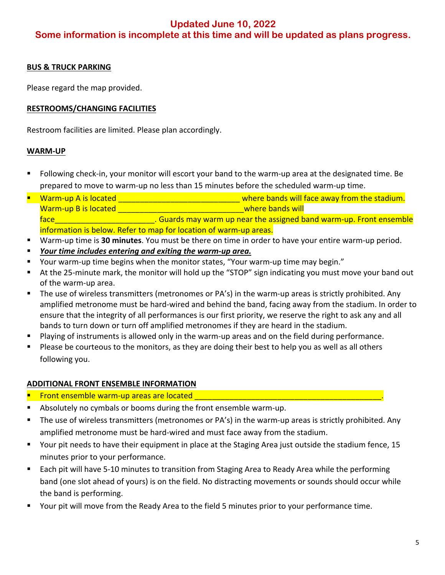# **Updated June 10, 2022 Some information is incomplete at this time and will be updated as plans progress.**

### **BUS & TRUCK PARKING**

Please regard the map provided.

### **RESTROOMS/CHANGING FACILITIES**

Restroom facilities are limited. Please plan accordingly.

#### **WARM-UP**

- § Following check-in, your monitor will escort your band to the warm-up area at the designated time. Be prepared to move to warm-up no less than 15 minutes before the scheduled warm-up time.
- Warm-up A is located and the state of the stadium. Warm-up B is located and the set of the set of the set of the where bands will face **Example 20 and 10 and 10 and 10 and 10 and 10 and 20 and 20 and 20 and 20 and 20 and 20 and 20 and 20 and 20 and 20 and 20 and 20 and 20 and 20 and 20 and 20 and 20 and 20 and 20 and 20 and 20 and 20 and 20 and 20 an** information is below. Refer to map for location of warm-up areas.
- § Warm-up time is **30 minutes**. You must be there on time in order to have your entire warm-up period.
- § *Your time includes entering and exiting the warm-up area.*
- § Your warm-up time begins when the monitor states, "Your warm-up time may begin."
- At the 25-minute mark, the monitor will hold up the "STOP" sign indicating you must move your band out of the warm-up area.
- The use of wireless transmitters (metronomes or PA's) in the warm-up areas is strictly prohibited. Any amplified metronome must be hard-wired and behind the band, facing away from the stadium. In order to ensure that the integrity of all performances is our first priority, we reserve the right to ask any and all bands to turn down or turn off amplified metronomes if they are heard in the stadium.
- Playing of instruments is allowed only in the warm-up areas and on the field during performance.
- Please be courteous to the monitors, as they are doing their best to help you as well as all others following you.

#### **ADDITIONAL FRONT ENSEMBLE INFORMATION**

- § Front ensemble warm-up areas are located \_\_\_\_\_\_\_\_\_\_\_\_\_\_\_\_\_\_\_\_\_\_\_\_\_\_\_\_\_\_\_\_\_\_\_\_\_\_\_\_\_\_\_.
- Absolutely no cymbals or booms during the front ensemble warm-up.
- The use of wireless transmitters (metronomes or PA's) in the warm-up areas is strictly prohibited. Any amplified metronome must be hard-wired and must face away from the stadium.
- § Your pit needs to have their equipment in place at the Staging Area just outside the stadium fence, 15 minutes prior to your performance.
- Each pit will have 5-10 minutes to transition from Staging Area to Ready Area while the performing band (one slot ahead of yours) is on the field. No distracting movements or sounds should occur while the band is performing.
- § Your pit will move from the Ready Area to the field 5 minutes prior to your performance time.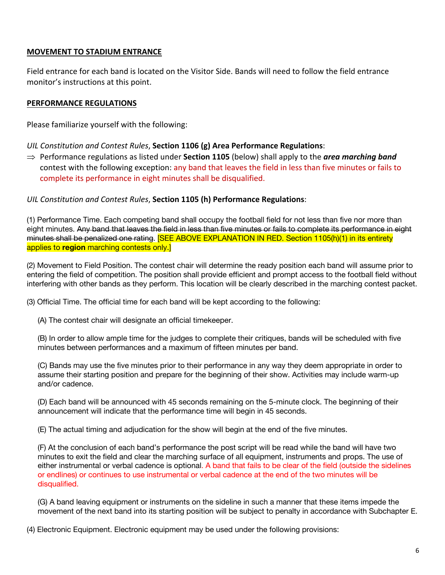### **MOVEMENT TO STADIUM ENTRANCE**

Field entrance for each band is located on the Visitor Side. Bands will need to follow the field entrance monitor's instructions at this point.

### **PERFORMANCE REGULATIONS**

Please familiarize yourself with the following:

#### *UIL Constitution and Contest Rules*, **Section 1106 (g) Area Performance Regulations**:

 $\Rightarrow$  Performance regulations as listed under **Section 1105** (below) shall apply to the *area marching band* contest with the following exception: any band that leaves the field in less than five minutes or fails to complete its performance in eight minutes shall be disqualified.

#### *UIL Constitution and Contest Rules*, **Section 1105 (h) Performance Regulations**:

(1) Performance Time. Each competing band shall occupy the football field for not less than five nor more than eight minutes. Any band that leaves the field in less than five minutes or fails to complete its performance in eight minutes shall be penalized one rating. [SEE ABOVE EXPLANATION IN RED. Section 1105(h)(1) in its entirety applies to **region** marching contests only.]

(2) Movement to Field Position. The contest chair will determine the ready position each band will assume prior to entering the field of competition. The position shall provide efficient and prompt access to the football field without interfering with other bands as they perform. This location will be clearly described in the marching contest packet.

(3) Official Time. The official time for each band will be kept according to the following:

(A) The contest chair will designate an official timekeeper.

(B) In order to allow ample time for the judges to complete their critiques, bands will be scheduled with five minutes between performances and a maximum of fifteen minutes per band.

(C) Bands may use the five minutes prior to their performance in any way they deem appropriate in order to assume their starting position and prepare for the beginning of their show. Activities may include warm-up and/or cadence.

(D) Each band will be announced with 45 seconds remaining on the 5-minute clock. The beginning of their announcement will indicate that the performance time will begin in 45 seconds.

(E) The actual timing and adjudication for the show will begin at the end of the five minutes.

(F) At the conclusion of each band's performance the post script will be read while the band will have two minutes to exit the field and clear the marching surface of all equipment, instruments and props. The use of either instrumental or verbal cadence is optional. A band that fails to be clear of the field (outside the sidelines or endlines) or continues to use instrumental or verbal cadence at the end of the two minutes will be disqualified.

(G) A band leaving equipment or instruments on the sideline in such a manner that these items impede the movement of the next band into its starting position will be subject to penalty in accordance with Subchapter E.

(4) Electronic Equipment. Electronic equipment may be used under the following provisions: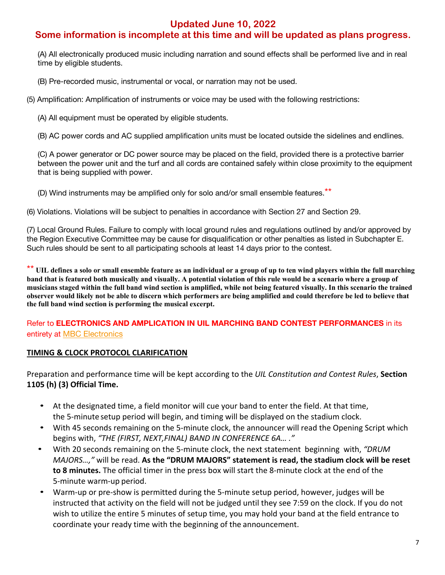## **Updated June 10, 2022**

# **Some information is incomplete at this time and will be updated as plans progress.**

(A) All electronically produced music including narration and sound effects shall be performed live and in real time by eligible students.

(B) Pre-recorded music, instrumental or vocal, or narration may not be used.

(5) Amplification: Amplification of instruments or voice may be used with the following restrictions:

(A) All equipment must be operated by eligible students.

(B) AC power cords and AC supplied amplification units must be located outside the sidelines and endlines.

(C) A power generator or DC power source may be placed on the field, provided there is a protective barrier between the power unit and the turf and all cords are contained safely within close proximity to the equipment that is being supplied with power.

(D) Wind instruments may be amplified only for solo and/or small ensemble features.\*\*

(6) Violations. Violations will be subject to penalties in accordance with Section 27 and Section 29.

(7) Local Ground Rules. Failure to comply with local ground rules and regulations outlined by and/or approved by the Region Executive Committee may be cause for disqualification or other penalties as listed in Subchapter E. Such rules should be sent to all participating schools at least 14 days prior to the contest.

\*\* **UIL defines a solo or small ensemble feature as an individual or a group of up to ten wind players within the full marching band that is featured both musically and visually. A potential violation of this rule would be a scenario where a group of musicians staged within the full band wind section is amplified, while not being featured visually. In this scenario the trained observer would likely not be able to discern which performers are being amplified and could therefore be led to believe that the full band wind section is performing the musical excerpt.** 

Refer to **ELECTRONICS AND AMPLICATION IN UIL MARCHING BAND CONTEST PERFORMANCES** in its entirety at **MBC** Electronics

## **TIMING & CLOCK PROTOCOL CLARIFICATION**

Preparation and performance time will be kept according to the *UIL Constitution and Contest Rules*, **Section 1105 (h) (3) Official Time.**

- At the designated time, a field monitor will cue your band to enter the field. At that time, the 5-minute setup period will begin, and timing will be displayed on the stadium clock.
- With 45 seconds remaining on the 5-minute clock, the announcer will read the Opening Script which begins with, *"THE (FIRST, NEXT,FINAL) BAND IN CONFERENCE 6A… ."*
- With 20 seconds remaining on the 5-minute clock, the next statement beginning with, *"DRUM MAJORS…,"* will be read. **As the "DRUM MAJORS" statement is read, the stadium clock will be reset to 8 minutes.** The official timer in the press box will start the 8-minute clock at the end of the 5-minute warm-up period.
- Warm-up or pre-show is permitted during the 5-minute setup period, however, judges will be instructed that activity on the field will not be judged until they see 7:59 on the clock. If you do not wish to utilize the entire 5 minutes of setup time, you may hold your band at the field entrance to coordinate your ready time with the beginning of the announcement.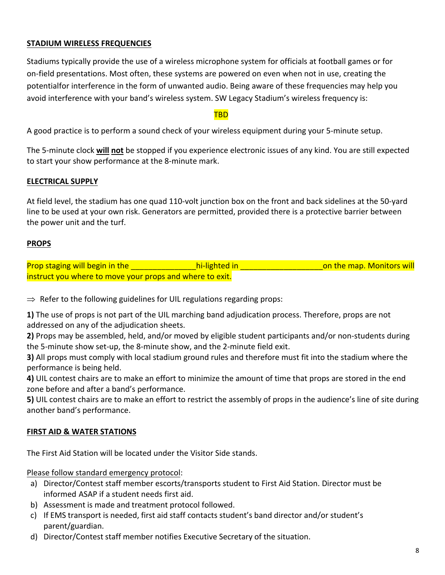## **STADIUM WIRELESS FREQUENCIES**

Stadiums typically provide the use of a wireless microphone system for officials at football games or for on-field presentations. Most often, these systems are powered on even when not in use, creating the potentialfor interference in the form of unwanted audio. Being aware of these frequencies may help you avoid interference with your band's wireless system. SW Legacy Stadium's wireless frequency is:

#### TBD

A good practice is to perform a sound check of your wireless equipment during your 5-minute setup.

The 5-minute clock **will not** be stopped if you experience electronic issues of any kind. You are still expected to start your show performance at the 8-minute mark.

### **ELECTRICAL SUPPLY**

At field level, the stadium has one quad 110-volt junction box on the front and back sidelines at the 50-yard line to be used at your own risk. Generators are permitted, provided there is a protective barrier between the power unit and the turf.

## **PROPS**

| <b>Prop staging will begin in the</b>                    | hi-lighted in | on the map. Monitors will |
|----------------------------------------------------------|---------------|---------------------------|
| instruct you where to move your props and where to exit. |               |                           |

 $\Rightarrow$  Refer to the following guidelines for UIL regulations regarding props:

**1)** The use of props is not part of the UIL marching band adjudication process. Therefore, props are not addressed on any of the adjudication sheets.

**2)** Props may be assembled, held, and/or moved by eligible student participants and/or non-students during the 5-minute show set-up, the 8-minute show, and the 2-minute field exit.

**3)** All props must comply with local stadium ground rules and therefore must fit into the stadium where the performance is being held.

**4)** UIL contest chairs are to make an effort to minimize the amount of time that props are stored in the end zone before and after a band's performance.

**5)** UIL contest chairs are to make an effort to restrict the assembly of props in the audience's line of site during another band's performance.

## **FIRST AID & WATER STATIONS**

The First Aid Station will be located under the Visitor Side stands.

Please follow standard emergency protocol:

- a) Director/Contest staff member escorts/transports student to First Aid Station. Director must be informed ASAP if a student needs first aid.
- b) Assessment is made and treatment protocol followed.
- c) If EMS transport is needed, first aid staff contacts student's band director and/or student's parent/guardian.
- d) Director/Contest staff member notifies Executive Secretary of the situation.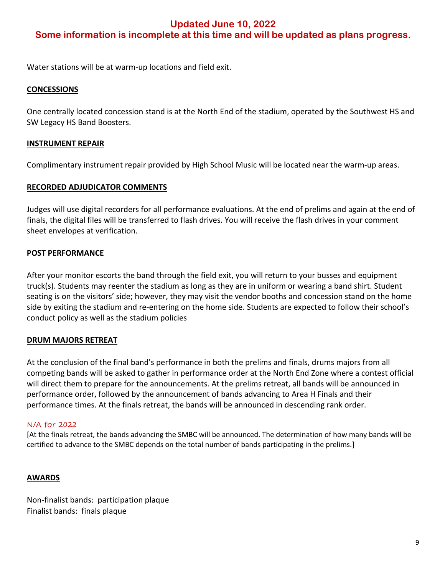## **Updated June 10, 2022 Some information is incomplete at this time and will be updated as plans progress.**

Water stations will be at warm-up locations and field exit.

### **CONCESSIONS**

One centrally located concession stand is at the North End of the stadium, operated by the Southwest HS and SW Legacy HS Band Boosters.

### **INSTRUMENT REPAIR**

Complimentary instrument repair provided by High School Music will be located near the warm-up areas.

### **RECORDED ADJUDICATOR COMMENTS**

Judges will use digital recorders for all performance evaluations. At the end of prelims and again at the end of finals, the digital files will be transferred to flash drives. You will receive the flash drives in your comment sheet envelopes at verification.

### **POST PERFORMANCE**

After your monitor escorts the band through the field exit, you will return to your busses and equipment truck(s). Students may reenter the stadium as long as they are in uniform or wearing a band shirt. Student seating is on the visitors' side; however, they may visit the vendor booths and concession stand on the home side by exiting the stadium and re-entering on the home side. Students are expected to follow their school's conduct policy as well as the stadium policies

### **DRUM MAJORS RETREAT**

At the conclusion of the final band's performance in both the prelims and finals, drums majors from all competing bands will be asked to gather in performance order at the North End Zone where a contest official will direct them to prepare for the announcements. At the prelims retreat, all bands will be announced in performance order, followed by the announcement of bands advancing to Area H Finals and their performance times. At the finals retreat, the bands will be announced in descending rank order.

### N/A for 2022

[At the finals retreat, the bands advancing the SMBC will be announced. The determination of how many bands will be certified to advance to the SMBC depends on the total number of bands participating in the prelims.]

### **AWARDS**

Non-finalist bands: participation plaque Finalist bands: finals plaque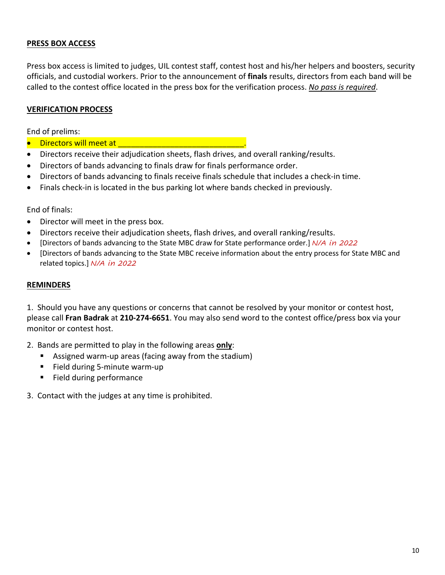## **PRESS BOX ACCESS**

Press box access is limited to judges, UIL contest staff, contest host and his/her helpers and boosters, security officials, and custodial workers. Prior to the announcement of **finals** results, directors from each band will be called to the contest office located in the press box for the verification process. *No pass is required*.

### **VERIFICATION PROCESS**

End of prelims:

- Directors will meet at \_\_\_\_\_\_\_\_\_\_\_\_\_\_\_\_\_\_\_\_\_\_\_\_\_\_\_\_\_.
- Directors receive their adjudication sheets, flash drives, and overall ranking/results.
- Directors of bands advancing to finals draw for finals performance order.
- Directors of bands advancing to finals receive finals schedule that includes a check-in time.
- Finals check-in is located in the bus parking lot where bands checked in previously.

End of finals:

- Director will meet in the press box.
- Directors receive their adjudication sheets, flash drives, and overall ranking/results.
- [Directors of bands advancing to the State MBC draw for State performance order.] *N/A in 2022*
- [Directors of bands advancing to the State MBC receive information about the entry process for State MBC and related topics.] *N/A in 2022*

#### **REMINDERS**

1. Should you have any questions or concerns that cannot be resolved by your monitor or contest host, please call **Fran Badrak** at **210-274-6651**. You may also send word to the contest office/press box via your monitor or contest host.

2. Bands are permitted to play in the following areas **only**:

- Assigned warm-up areas (facing away from the stadium)
- Field during 5-minute warm-up
- Field during performance
- 3. Contact with the judges at any time is prohibited.